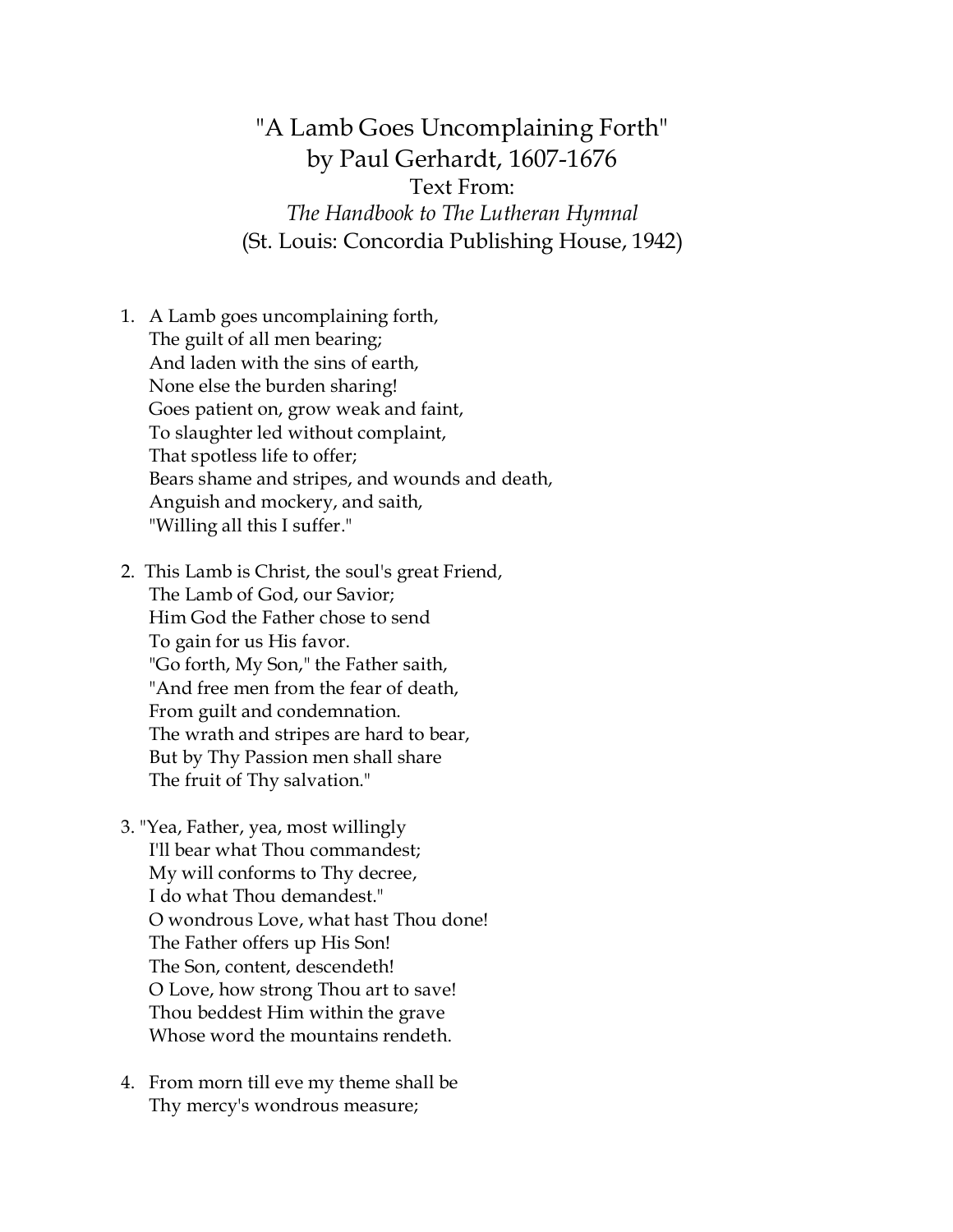"A Lamb Goes Uncomplaining Forth" by Paul Gerhardt, 1607-1676 Text From: *The Handbook to The Lutheran Hymnal* (St. Louis: Concordia Publishing House, 1942)

- 1. A Lamb goes uncomplaining forth, The guilt of all men bearing; And laden with the sins of earth, None else the burden sharing! Goes patient on, grow weak and faint, To slaughter led without complaint, That spotless life to offer; Bears shame and stripes, and wounds and death, Anguish and mockery, and saith, "Willing all this I suffer."
- 2. This Lamb is Christ, the soul's great Friend, The Lamb of God, our Savior; Him God the Father chose to send To gain for us His favor. "Go forth, My Son," the Father saith, "And free men from the fear of death, From guilt and condemnation. The wrath and stripes are hard to bear, But by Thy Passion men shall share The fruit of Thy salvation."
- 3. "Yea, Father, yea, most willingly I'll bear what Thou commandest; My will conforms to Thy decree, I do what Thou demandest." O wondrous Love, what hast Thou done! The Father offers up His Son! The Son, content, descendeth! O Love, how strong Thou art to save! Thou beddest Him within the grave Whose word the mountains rendeth.
- 4. From morn till eve my theme shall be Thy mercy's wondrous measure;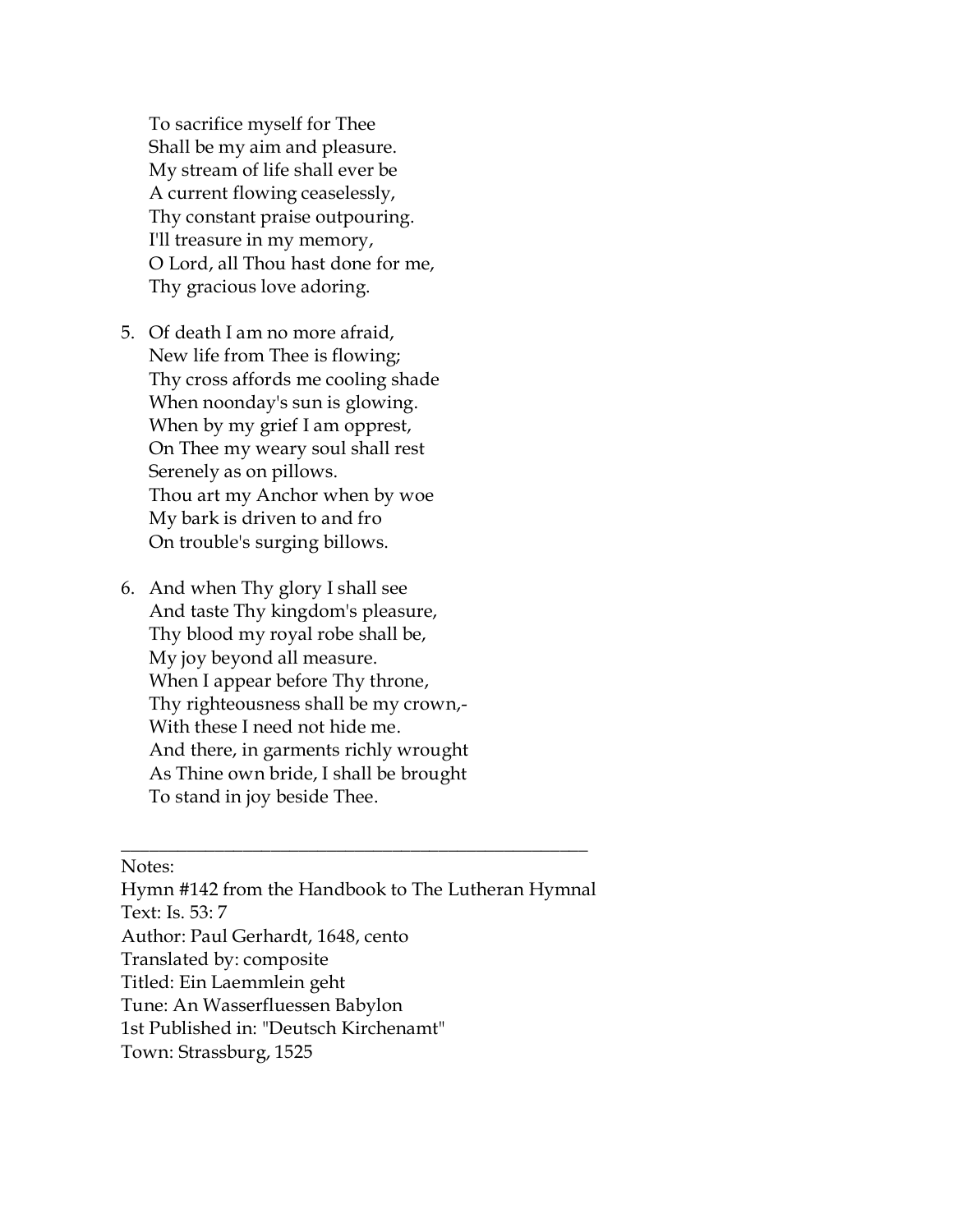To sacrifice myself for Thee Shall be my aim and pleasure. My stream of life shall ever be A current flowing ceaselessly, Thy constant praise outpouring. I'll treasure in my memory, O Lord, all Thou hast done for me, Thy gracious love adoring.

- 5. Of death I am no more afraid, New life from Thee is flowing; Thy cross affords me cooling shade When noonday's sun is glowing. When by my grief I am opprest, On Thee my weary soul shall rest Serenely as on pillows. Thou art my Anchor when by woe My bark is driven to and fro On trouble's surging billows.
- 6. And when Thy glory I shall see And taste Thy kingdom's pleasure, Thy blood my royal robe shall be, My joy beyond all measure. When I appear before Thy throne, Thy righteousness shall be my crown,- With these I need not hide me. And there, in garments richly wrought As Thine own bride, I shall be brought To stand in joy beside Thee.

Notes:

 Hymn #142 from the Handbook to The Lutheran Hymnal Text: Is. 53: 7 Author: Paul Gerhardt, 1648, cento Translated by: composite Titled: Ein Laemmlein geht Tune: An Wasserfluessen Babylon 1st Published in: "Deutsch Kirchenamt" Town: Strassburg, 1525

\_\_\_\_\_\_\_\_\_\_\_\_\_\_\_\_\_\_\_\_\_\_\_\_\_\_\_\_\_\_\_\_\_\_\_\_\_\_\_\_\_\_\_\_\_\_\_\_\_\_